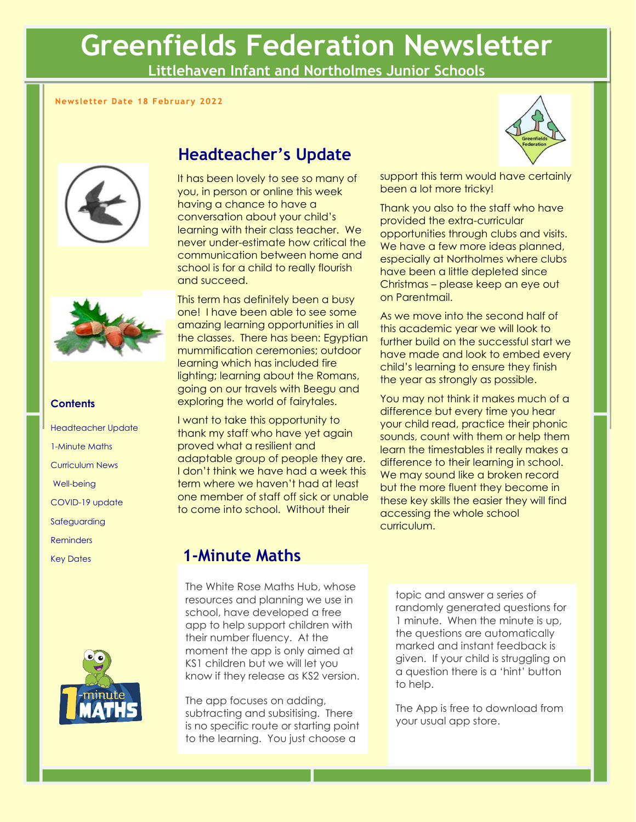# **Greenfields Federation Newsletter**

**Littlehaven Infant and Northolmes Junior Schools**

### **Newsletter Date 18 February 2022**





#### **Contents**

Headteacher Update 1-Minute Maths Curriculum News Well-being COVID-19 update Safeguarding **Reminders** Key Dates



### **Headteacher's Update**

It has been lovely to see so many of you, in person or online this week having a chance to have a conversation about your child's learning with their class teacher. We never under-estimate how critical the communication between home and school is for a child to really flourish and succeed.

This term has definitely been a busy one! I have been able to see some amazing learning opportunities in all the classes. There has been: Egyptian mummification ceremonies; outdoor learning which has included fire lighting; learning about the Romans, going on our travels with Beegu and exploring the world of fairytales.

I want to take this opportunity to thank my staff who have yet again proved what a resilient and adaptable group of people they are. I don't think we have had a week this term where we haven't had at least one member of staff off sick or unable to come into school. Without their



support this term would have certainly been a lot more tricky!

Thank you also to the staff who have provided the extra-curricular opportunities through clubs and visits. We have a few more ideas planned, especially at Northolmes where clubs have been a little depleted since Christmas – please keep an eye out on Parentmail.

As we move into the second half of this academic year we will look to further build on the successful start we have made and look to embed every child's learning to ensure they finish the year as strongly as possible.

You may not think it makes much of a difference but every time you hear your child read, practice their phonic sounds, count with them or help them learn the timestables it really makes a difference to their learning in school. We may sound like a broken record but the more fluent they become in these key skills the easier they will find accessing the whole school curriculum.

### **1-Minute Maths**

The White Rose Maths Hub, whose resources and planning we use in school, have developed a free app to help support children with their number fluency. At the moment the app is only aimed at KS1 children but we will let you know if they release as KS2 version.

The app focuses on adding, subtracting and subsitising. There is no specific route or starting point to the learning. You just choose a

topic and answer a series of randomly generated questions for 1 minute. When the minute is up, the questions are automatically marked and instant feedback is given. If your child is struggling on a question there is a 'hint' button to help.

The App is free to download from your usual app store.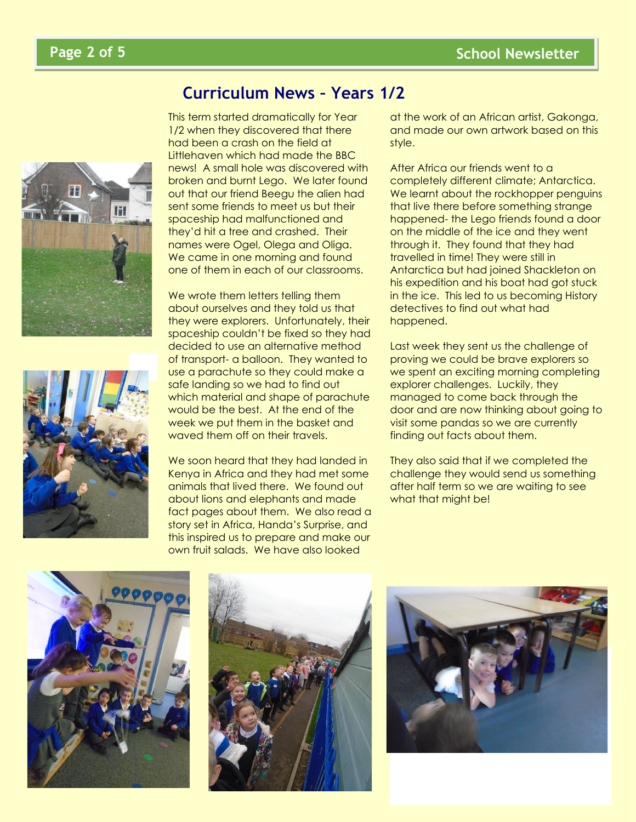



### **Curriculum News – Years 1/2**

This term started dramatically for Year 1/2 when they discovered that there had been a crash on the field at Littlehaven which had made the BBC news! A small hole was discovered with broken and burnt Lego. We later found out that our friend Beegu the alien had sent some friends to meet us but their spaceship had malfunctioned and they'd hit a tree and crashed. Their names were Ogel, Olega and Oliga. We came in one morning and found one of them in each of our classrooms.

We wrote them letters telling them about ourselves and they told us that they were explorers. Unfortunately, their spaceship couldn't be fixed so they had decided to use an alternative method of transport- a balloon. They wanted to use a parachute so they could make a safe landing so we had to find out which material and shape of parachute would be the best. At the end of the week we put them in the basket and waved them off on their travels.

We soon heard that they had landed in Kenya in Africa and they had met some animals that lived there. We found out about lions and elephants and made fact pages about them. We also read a story set in Africa, Handa's Surprise, and this inspired us to prepare and make our own fruit salads. We have also looked

at the work of an African artist, Gakonga, and made our own artwork based on this style.

After Africa our friends went to a completely different climate; Antarctica. We learnt about the rockhopper penguins that live there before something strange happened- the Lego friends found a door on the middle of the ice and they went through it. They found that they had travelled in time! They were still in Antarctica but had joined Shackleton on his expedition and his boat had got stuck in the ice. This led to us becoming History detectives to find out what had happened.

Last week they sent us the challenge of proving we could be brave explorers so we spent an exciting morning completing explorer challenges. Luckily, they managed to come back through the door and are now thinking about going to visit some pandas so we are currently finding out facts about them.

They also said that if we completed the challenge they would send us something after half term so we are waiting to see what that might be!





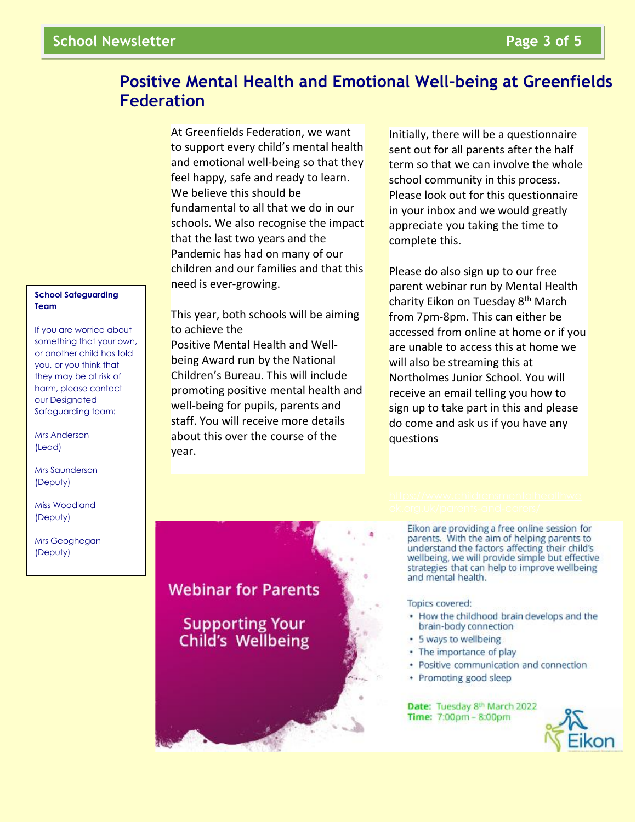# **Positive Mental Health and Emotional Well-being at Greenfields Federation**

At Greenfields Federation, we want to support every child's mental health and emotional well-being so that they feel happy, safe and ready to learn. We believe this should be fundamental to all that we do in our schools. We also recognise the impact that the last two years and the Pandemic has had on many of our children and our families and that this need is ever-growing.

This year, both schools will be aiming to achieve the Positive Mental Health and Wellbeing Award run by the National Children's Bureau. This will include promoting positive mental health and well-being for pupils, parents and staff. You will receive more details about this over the course of the year.

Initially, there will be a questionnaire sent out for all parents after the half term so that we can involve the whole school community in this process. Please look out for this questionnaire in your inbox and we would greatly appreciate you taking the time to complete this.

Please do also sign up to our free parent webinar run by Mental Health charity Eikon on Tuesday 8<sup>th</sup> March from 7pm-8pm. This can either be accessed from online at home or if you are unable to access this at home we will also be streaming this at Northolmes Junior School. You will receive an email telling you how to sign up to take part in this and please do come and ask us if you have any questions

Eikon are providing a free online session for parents. With the aim of helping parents to understand the factors affecting their child's wellbeing, we will provide simple but effective strategies that can help to improve wellbeing and mental health.

#### Topics covered:

- How the childhood brain develops and the brain-body connection
- · 5 ways to wellbeing
- The importance of play
- · Positive communication and connection
- · Promoting good sleep

Date: Tuesday 8th March 2022 Time: 7:00pm - 8:00pm



#### **School Safeguarding Team**

If you are worried about something that your own, or another child has told you, or you think that they may be at risk of harm, please contact our Designated Safeguarding team:

Mrs Anderson (Lead)

Mrs Saunderson (Deputy)

Miss Woodland (Deputy)

Mrs Geoghegan (Deputy)

**Webinar for Parents** 

Supporting Your<br>Child's Wellbeing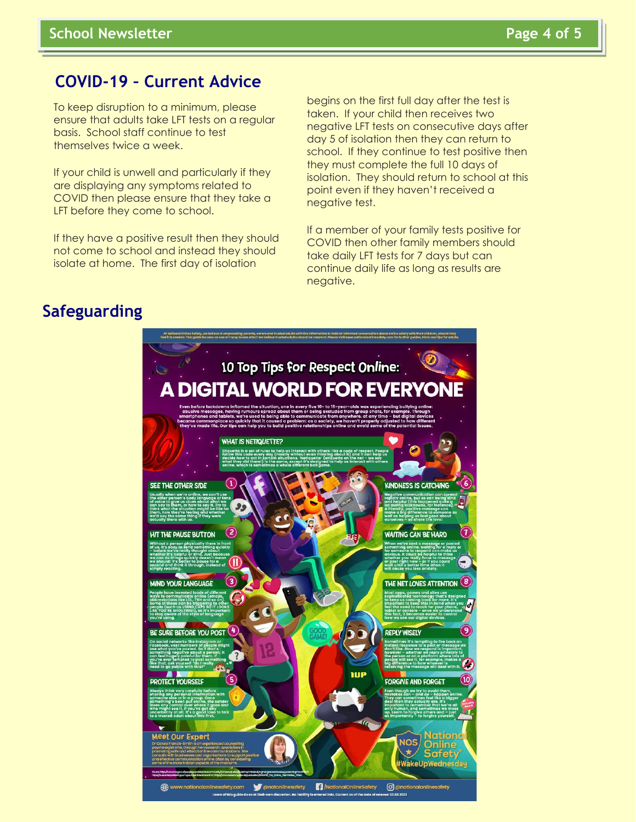### **COVID-19 – Current Advice**

To keep disruption to a minimum, please ensure that adults take LFT tests on a regular basis. School staff continue to test themselves twice a week.

If your child is unwell and particularly if they are displaying any symptoms related to COVID then please ensure that they take a LFT before they come to school.

If they have a positive result then they should not come to school and instead they should isolate at home. The first day of isolation

begins on the first full day after the test is taken. If your child then receives two negative LFT tests on consecutive days after day 5 of isolation then they can return to school. If they continue to test positive then they must complete the full 10 days of isolation. They should return to school at this point even if they haven't received a negative test.

If a member of your family tests positive for COVID then other family members should take daily LFT tests for 7 days but can continue daily life as long as results are negative.

### **Safeguarding**